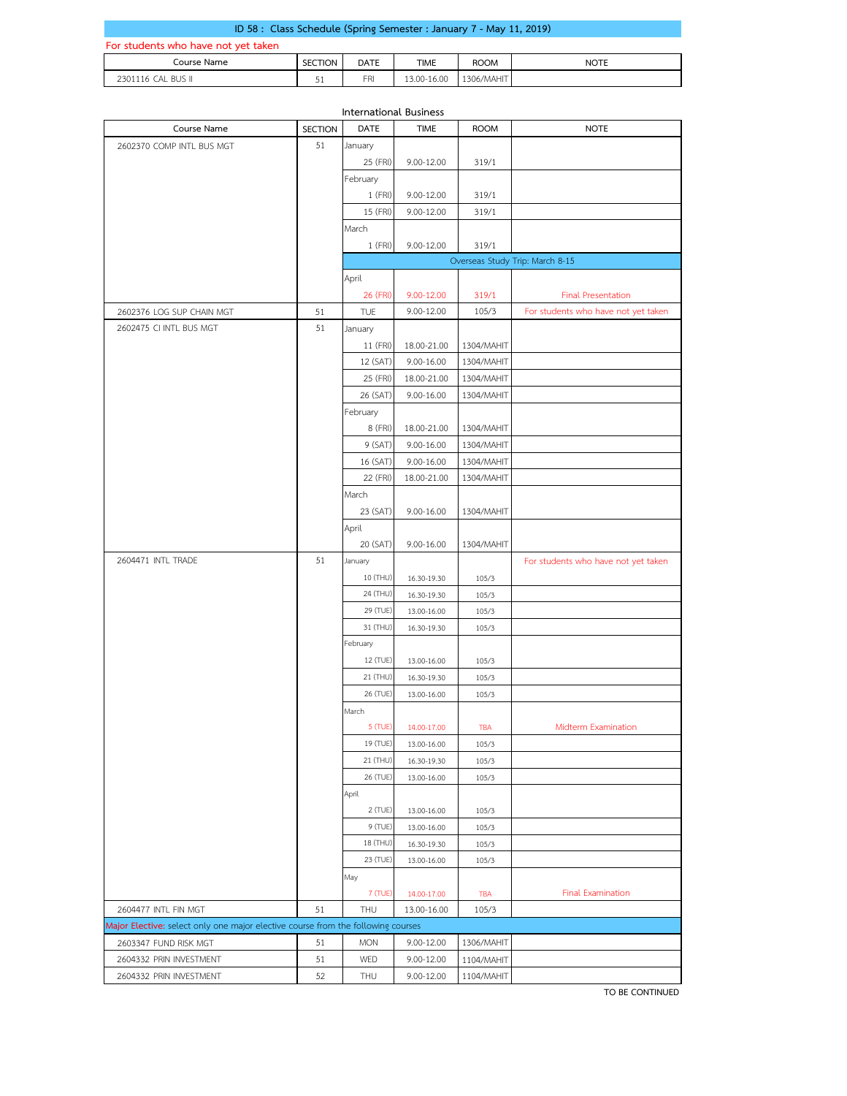| ID 58 : Class Schedule (Spring Semester : January 7 - May 11, 2019) |         |      |             |             |             |  |  |
|---------------------------------------------------------------------|---------|------|-------------|-------------|-------------|--|--|
| For students who have not yet taken                                 |         |      |             |             |             |  |  |
| Course Name                                                         | SECTION | DATE | <b>TIME</b> | <b>ROOM</b> | <b>NOTE</b> |  |  |
| 2301116 CAL BUS II                                                  | 51      | FRI  | 13.00-16.00 | 1306/MAHIT  |             |  |  |

| <b>International Business</b>                                                    |                |            |             |             |                                     |  |  |  |
|----------------------------------------------------------------------------------|----------------|------------|-------------|-------------|-------------------------------------|--|--|--|
| Course Name                                                                      | <b>SECTION</b> | DATE       | <b>TIME</b> | <b>ROOM</b> | <b>NOTE</b>                         |  |  |  |
| 2602370 COMP INTL BUS MGT                                                        | 51             | January    |             |             |                                     |  |  |  |
|                                                                                  |                | 25 (FRI)   | 9.00-12.00  | 319/1       |                                     |  |  |  |
|                                                                                  |                | February   |             |             |                                     |  |  |  |
|                                                                                  |                | 1 (FRI)    | 9.00-12.00  | 319/1       |                                     |  |  |  |
|                                                                                  |                | 15 (FRI)   | 9.00-12.00  | 319/1       |                                     |  |  |  |
|                                                                                  |                | March      |             |             |                                     |  |  |  |
|                                                                                  |                | 1 (FRI)    | 9.00-12.00  | 319/1       |                                     |  |  |  |
|                                                                                  |                |            |             |             | Overseas Study Trip: March 8-15     |  |  |  |
|                                                                                  |                | April      |             |             |                                     |  |  |  |
|                                                                                  |                | 26 (FRI)   | 9.00-12.00  | 319/1       | <b>Final Presentation</b>           |  |  |  |
| 2602376 LOG SUP CHAIN MGT                                                        | 51             | <b>TUE</b> | 9.00-12.00  | 105/3       | For students who have not yet taken |  |  |  |
| 2602475 CI INTL BUS MGT                                                          | 51             | January    |             |             |                                     |  |  |  |
|                                                                                  |                | 11 (FRI)   | 18.00-21.00 | 1304/MAHIT  |                                     |  |  |  |
|                                                                                  |                | 12 (SAT)   | 9.00-16.00  | 1304/MAHIT  |                                     |  |  |  |
|                                                                                  |                | 25 (FRI)   | 18.00-21.00 | 1304/MAHIT  |                                     |  |  |  |
|                                                                                  |                | 26 (SAT)   | 9.00-16.00  | 1304/MAHIT  |                                     |  |  |  |
|                                                                                  |                | February   |             |             |                                     |  |  |  |
|                                                                                  |                | 8 (FRI)    | 18.00-21.00 | 1304/MAHIT  |                                     |  |  |  |
|                                                                                  |                |            |             | 1304/MAHIT  |                                     |  |  |  |
|                                                                                  |                | 9 (SAT)    | 9.00-16.00  | 1304/MAHIT  |                                     |  |  |  |
|                                                                                  |                | 16 (SAT)   | 9.00-16.00  |             |                                     |  |  |  |
|                                                                                  |                | 22 (FRI)   | 18.00-21.00 | 1304/MAHIT  |                                     |  |  |  |
|                                                                                  |                | March      |             |             |                                     |  |  |  |
|                                                                                  |                | 23 (SAT)   | 9.00-16.00  | 1304/MAHIT  |                                     |  |  |  |
|                                                                                  |                | April      |             |             |                                     |  |  |  |
|                                                                                  |                | 20 (SAT)   | 9.00-16.00  | 1304/MAHIT  |                                     |  |  |  |
| 2604471 INTL TRADE                                                               | 51             | January    |             |             | For students who have not yet taken |  |  |  |
|                                                                                  |                | 10 (THU)   | 16.30-19.30 | 105/3       |                                     |  |  |  |
|                                                                                  |                | 24 (THU)   | 16.30-19.30 | 105/3       |                                     |  |  |  |
|                                                                                  |                | 29 (TUE)   | 13.00-16.00 | 105/3       |                                     |  |  |  |
|                                                                                  |                | 31 (THU)   | 16.30-19.30 | 105/3       |                                     |  |  |  |
|                                                                                  |                | February   |             |             |                                     |  |  |  |
|                                                                                  |                | 12 (TUE)   | 13.00-16.00 | 105/3       |                                     |  |  |  |
|                                                                                  |                | 21 (THU)   | 16.30-19.30 | 105/3       |                                     |  |  |  |
|                                                                                  |                | 26 (TUE)   | 13.00-16.00 | 105/3       |                                     |  |  |  |
|                                                                                  |                | March      |             |             |                                     |  |  |  |
|                                                                                  |                | 5 (TUE)    | 14.00-17.00 | I BA        | Midterm Examination                 |  |  |  |
|                                                                                  |                | 19 (TUE)   | 13.00-16.00 | 105/3       |                                     |  |  |  |
|                                                                                  |                | 21 (THU)   | 16.30-19.30 | 105/3       |                                     |  |  |  |
|                                                                                  |                | 26 (TUE)   | 13.00-16.00 | 105/3       |                                     |  |  |  |
|                                                                                  |                | April      |             |             |                                     |  |  |  |
|                                                                                  |                | 2 (TUE)    | 13.00-16.00 | 105/3       |                                     |  |  |  |
|                                                                                  |                | 9 (TUE)    | 13.00-16.00 | 105/3       |                                     |  |  |  |
|                                                                                  |                | 18 (THU)   | 16.30-19.30 | 105/3       |                                     |  |  |  |
|                                                                                  |                | 23 (TUE)   | 13.00-16.00 | 105/3       |                                     |  |  |  |
|                                                                                  |                | May        |             |             |                                     |  |  |  |
|                                                                                  |                | 7 (TUE)    | 14.00-17.00 | <b>TBA</b>  | <b>Final Examination</b>            |  |  |  |
| 2604477 INTL FIN MGT                                                             | 51             | THU        | 13.00-16.00 | 105/3       |                                     |  |  |  |
| Major Elective: select only one major elective course from the following courses |                |            |             |             |                                     |  |  |  |
| 2603347 FUND RISK MGT                                                            | 51             | <b>MON</b> | 9.00-12.00  | 1306/MAHIT  |                                     |  |  |  |
| 2604332 PRIN INVESTMENT                                                          | 51             | WED        | 9.00-12.00  | 1104/MAHIT  |                                     |  |  |  |
| 2604332 PRIN INVESTMENT                                                          | 52             | THU        | 9.00-12.00  |             |                                     |  |  |  |
|                                                                                  |                |            |             | 1104/MAHIT  |                                     |  |  |  |

**TO BE CONTINUED**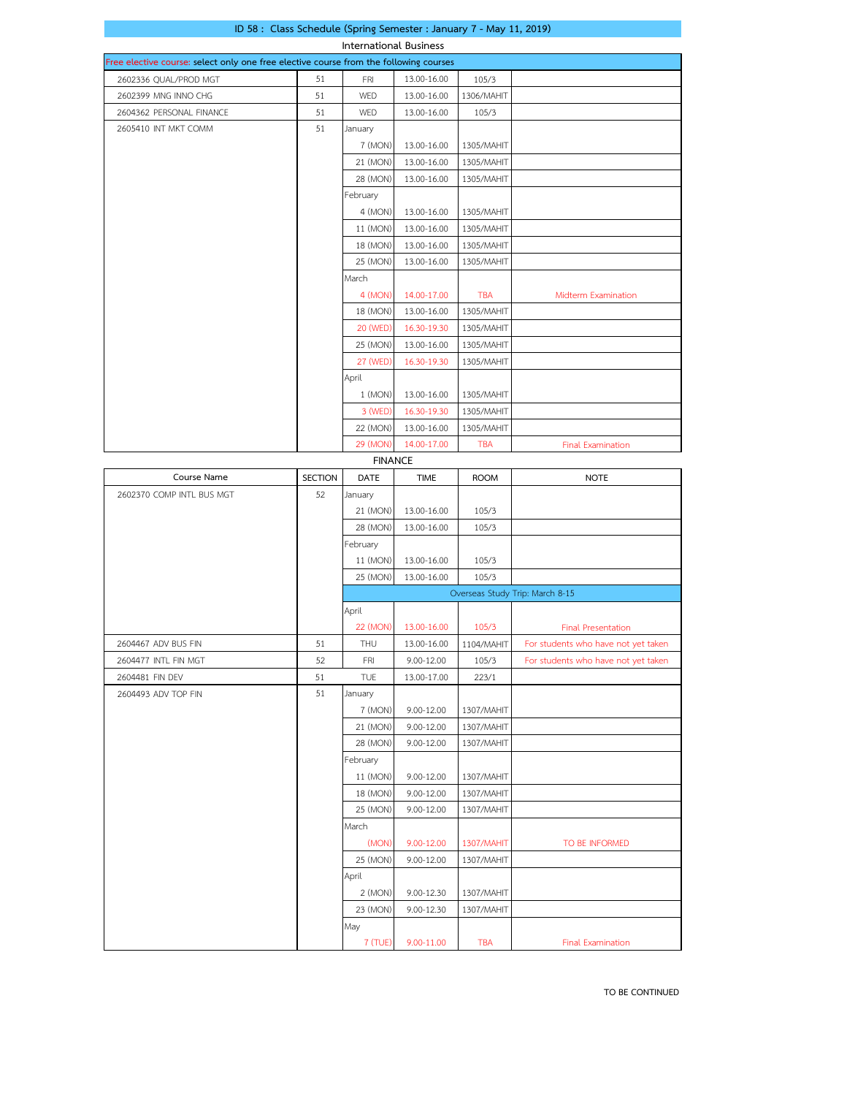|  | ID 58 : Class Schedule (Spring Semester : January 7 - May 11, 2019) |  |
|--|---------------------------------------------------------------------|--|
|  |                                                                     |  |

| <b>International Business</b>                                                         |                                 |                |             |             |                                     |  |  |  |
|---------------------------------------------------------------------------------------|---------------------------------|----------------|-------------|-------------|-------------------------------------|--|--|--|
| Free elective course: select only one free elective course from the following courses |                                 |                |             |             |                                     |  |  |  |
| 2602336 QUAL/PROD MGT                                                                 | 51                              | <b>FRI</b>     | 13.00-16.00 | 105/3       |                                     |  |  |  |
| 2602399 MNG INNO CHG                                                                  | 51                              | WED            | 13.00-16.00 | 1306/MAHIT  |                                     |  |  |  |
| 2604362 PERSONAL FINANCE                                                              | 51                              | WED            | 13.00-16.00 | 105/3       |                                     |  |  |  |
| 2605410 INT MKT COMM                                                                  | 51                              | January        |             |             |                                     |  |  |  |
|                                                                                       |                                 | 7 (MON)        | 13.00-16.00 | 1305/MAHIT  |                                     |  |  |  |
|                                                                                       |                                 | 21 (MON)       | 13.00-16.00 | 1305/MAHIT  |                                     |  |  |  |
|                                                                                       |                                 | 28 (MON)       | 13.00-16.00 | 1305/MAHIT  |                                     |  |  |  |
|                                                                                       |                                 | February       |             |             |                                     |  |  |  |
|                                                                                       |                                 | 4 (MON)        | 13.00-16.00 | 1305/MAHIT  |                                     |  |  |  |
|                                                                                       |                                 | 11 (MON)       | 13.00-16.00 | 1305/MAHIT  |                                     |  |  |  |
|                                                                                       |                                 | 18 (MON)       | 13.00-16.00 | 1305/MAHIT  |                                     |  |  |  |
|                                                                                       |                                 | 25 (MON)       | 13.00-16.00 | 1305/MAHIT  |                                     |  |  |  |
|                                                                                       |                                 | March          |             |             |                                     |  |  |  |
|                                                                                       |                                 | 4 (MON)        | 14.00-17.00 | <b>TBA</b>  | Midterm Examination                 |  |  |  |
|                                                                                       |                                 | 18 (MON)       | 13.00-16.00 | 1305/MAHIT  |                                     |  |  |  |
|                                                                                       |                                 | 20 (WED)       | 16.30-19.30 | 1305/MAHIT  |                                     |  |  |  |
|                                                                                       |                                 | 25 (MON)       | 13.00-16.00 | 1305/MAHIT  |                                     |  |  |  |
|                                                                                       |                                 | 27 (WED)       | 16.30-19.30 | 1305/MAHIT  |                                     |  |  |  |
|                                                                                       |                                 | April          |             |             |                                     |  |  |  |
|                                                                                       |                                 | 1 (MON)        | 13.00-16.00 | 1305/MAHIT  |                                     |  |  |  |
|                                                                                       |                                 | 3 (WED)        | 16.30-19.30 | 1305/MAHIT  |                                     |  |  |  |
|                                                                                       |                                 | 22 (MON)       | 13.00-16.00 | 1305/MAHIT  |                                     |  |  |  |
|                                                                                       |                                 | 29 (MON)       | 14.00-17.00 | <b>TBA</b>  | <b>Final Examination</b>            |  |  |  |
|                                                                                       |                                 | <b>FINANCE</b> |             |             |                                     |  |  |  |
| Course Name                                                                           | <b>SECTION</b>                  | DATE           | <b>TIME</b> | <b>ROOM</b> | <b>NOTE</b>                         |  |  |  |
| 2602370 COMP INTL BUS MGT                                                             | 52                              | January        |             |             |                                     |  |  |  |
|                                                                                       |                                 | 21 (MON)       | 13.00-16.00 | 105/3       |                                     |  |  |  |
|                                                                                       |                                 | 28 (MON)       | 13.00-16.00 | 105/3       |                                     |  |  |  |
|                                                                                       |                                 | February       |             |             |                                     |  |  |  |
|                                                                                       |                                 | 11 (MON)       | 13.00-16.00 | 105/3       |                                     |  |  |  |
|                                                                                       |                                 | 25 (MON)       | 13.00-16.00 | 105/3       |                                     |  |  |  |
|                                                                                       | Overseas Study Trip: March 8-15 |                |             |             |                                     |  |  |  |
|                                                                                       |                                 | April          |             |             |                                     |  |  |  |
|                                                                                       |                                 | 22 (MON)       | 13.00-16.00 | 105/3       | <b>Final Presentation</b>           |  |  |  |
| 2604467 ADV BUS FIN                                                                   | 51                              | THU            | 13.00-16.00 | 1104/MAHIT  | For students who have not yet taken |  |  |  |
| 2604477 INTL FIN MGT                                                                  | 52                              | FRI            | 9.00-12.00  | 105/3       | For students who have not yet taken |  |  |  |
| 2604481 FIN DEV                                                                       | 51                              | TUE            | 13.00-17.00 | 223/1       |                                     |  |  |  |
|                                                                                       |                                 |                |             |             |                                     |  |  |  |

|                      |    | <b>APLIL</b> |             |            |                                     |
|----------------------|----|--------------|-------------|------------|-------------------------------------|
|                      |    | 22 (MON)     | 13.00-16.00 | 105/3      | <b>Final Presentation</b>           |
| 2604467 ADV BUS FIN  | 51 | THU          | 13.00-16.00 | 1104/MAHIT | For students who have not yet taken |
| 2604477 INTL FIN MGT | 52 | <b>FRI</b>   | 9.00-12.00  | 105/3      | For students who have not yet taken |
| 2604481 FIN DEV      | 51 | <b>TUE</b>   | 13.00-17.00 | 223/1      |                                     |
| 2604493 ADV TOP FIN  | 51 | January      |             |            |                                     |
|                      |    | 7 (MON)      | 9.00-12.00  | 1307/MAHIT |                                     |
|                      |    | 21 (MON)     | 9.00-12.00  | 1307/MAHIT |                                     |
|                      |    | 28 (MON)     | 9.00-12.00  | 1307/MAHIT |                                     |
|                      |    | February     |             |            |                                     |
|                      |    | 11 (MON)     | 9.00-12.00  | 1307/MAHIT |                                     |
|                      |    | 18 (MON)     | 9.00-12.00  | 1307/MAHIT |                                     |
|                      |    | 25 (MON)     | 9.00-12.00  | 1307/MAHIT |                                     |
|                      |    | March        |             |            |                                     |
|                      |    | (MON)        | 9.00-12.00  | 1307/MAHIT | TO BE INFORMED                      |
|                      |    | 25 (MON)     | 9.00-12.00  | 1307/MAHIT |                                     |
|                      |    | April        |             |            |                                     |
|                      |    | 2 (MON)      | 9.00-12.30  | 1307/MAHIT |                                     |
|                      |    | 23 (MON)     | 9.00-12.30  | 1307/MAHIT |                                     |
|                      |    | May          |             |            |                                     |
|                      |    | 7 (TUE)      | 9.00-11.00  | <b>TBA</b> | <b>Final Examination</b>            |